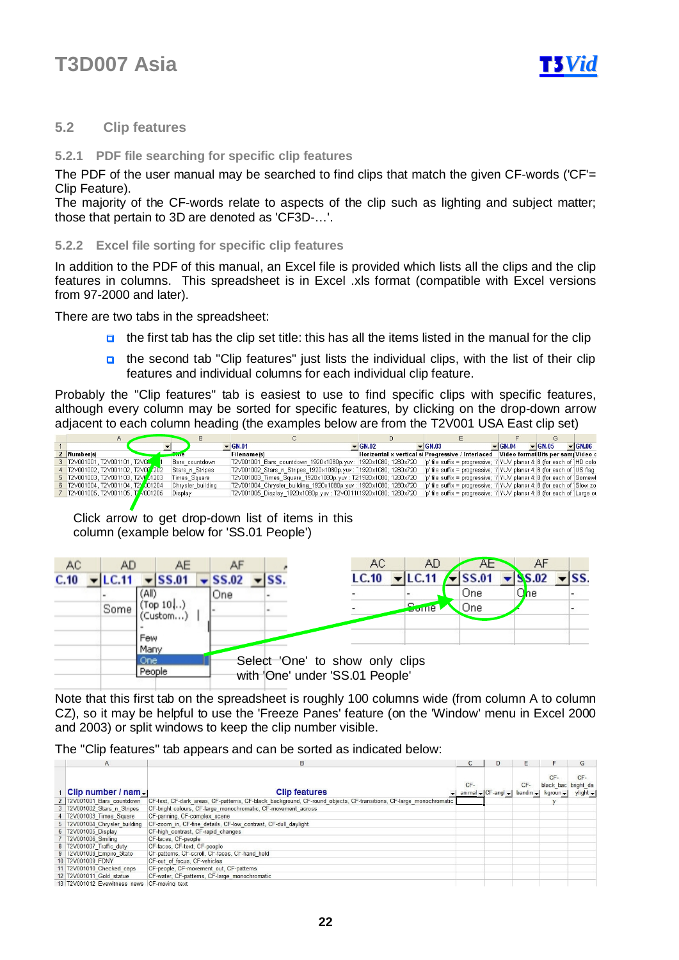

### **5.2 Clip features**

#### **5.2.1 PDF file searching for specific clip features**

The PDF of the user manual may be searched to find clips that match the given CF-words ('CF'= Clip Feature).

The majority of the CF-words relate to aspects of the clip such as lighting and subject matter; those that pertain to 3D are denoted as 'CF3D-…'.

#### **5.2.2 Excel file sorting for specific clip features**

In addition to the PDF of this manual, an Excel file is provided which lists all the clips and the clip features in columns. This spreadsheet is in Excel .xls format (compatible with Excel versions from 97-2000 and later).

There are two tabs in the spreadsheet:

- $\Box$  the first tab has the clip set title: this has all the items listed in the manual for the clip
- the second tab "Clip features" just lists the individual clips, with the list of their clip features and individual columns for each individual clip feature.

Probably the "Clip features" tab is easiest to use to find specific clips with specific features, although every column may be sorted for specific features, by clicking on the drop-down arrow adjacent to each column heading (the examples below are from the T2V001 USA East clip set)

|  |                                    |                   | $\blacktriangledown$ GN.01                                      | $\sqrt{GM.02}$ | $\blacktriangleright$ GN.03                                                          | $\blacktriangleright$ GN.04 | $\blacktriangledown$ GN.05 | $\blacktriangleright$ GN.06 |
|--|------------------------------------|-------------------|-----------------------------------------------------------------|----------------|--------------------------------------------------------------------------------------|-----------------------------|----------------------------|-----------------------------|
|  | 2 Number(s)                        |                   | <b>Filename(s)</b>                                              |                | Horizontal x vertical si Progressive / Interlaced   Video forma Bits per sam Video c |                             |                            |                             |
|  | 3 T2V001001, T2V001101, T2V00      | Bars countdown    | T2V001001 Bars countdown 1920x1080p.yuv: 1920x1080; 1280x720    |                | p' file suffix = progressive; 'i' YUV planar 4: 8 (for each of HD colo               |                             |                            |                             |
|  | 4 T2V001002, T2V001102, T2V00 202  | Stars n Stripes   | T2V001002 Stars n Stripes 1920x1080p.yuv: 1920x1080; 1280x720   |                | 'p' file suffix = progressive; 'i' YUV planar 4: 8 (for each of   US flag            |                             |                            |                             |
|  | 5 T2V001003, T2V001103, T2VF 01203 | Times Square      | T2V001003 Times Square 1920x1080p.yuv: T2 1920x1080; 1280x720   |                | 'p' file suffix = progressive; 'i' YUV planar 4: 8 (for each of Somewl               |                             |                            |                             |
|  | 6 T2V001004, T2V001104, T2V001204  | Chrysler building | T2V001004 Chrysler building 1920x1080p.yuv: 1920x1080; 1280x720 |                | 'p' file suffix = progressive; 'i' YUV planar 4: 8 (for each of Slow zo              |                             |                            |                             |
|  | 7 T2V001005, T2V001105, T2V001205  | Display           | T2V001005_Display_1920x1080p.yuv: T2V0011(1920x1080; 1280x720   |                | p' file suffix = progressive; 'i'  YUV planar 4: 8 (for each of ) Large ou           |                             |                            |                             |
|  |                                    |                   |                                                                 |                |                                                                                      |                             |                            |                             |

Click arrow to get drop-down list of items in this column (example below for 'SS.01 People')

| AC   | AD    |              | AE                            |                             |              |                                 | AC.   | AD                          | AE.                           | AF                          |                             |
|------|-------|--------------|-------------------------------|-----------------------------|--------------|---------------------------------|-------|-----------------------------|-------------------------------|-----------------------------|-----------------------------|
| C.10 | LC.11 |              | $\overline{\mathbf{S}}$ SS.01 | $\blacktriangleright$ SS.02 | $\mathbf{S}$ |                                 | LC.10 | $\blacktriangleright$ LC.11 | $\overline{\mathbf{S}}$ SS.01 | $\blacktriangleright$ SS.02 | $\overline{\mathbf{S}}$ ss. |
|      |       | (All)        |                               | One                         |              |                                 |       |                             | One                           | One                         |                             |
|      | Some  |              | Top $10$ )<br>Custom…)        |                             |              |                                 |       | <b>Borne</b>                | One                           |                             |                             |
|      |       |              |                               |                             |              |                                 |       |                             |                               |                             |                             |
|      |       | Few          |                               |                             |              |                                 |       |                             |                               |                             |                             |
|      |       | Many<br>One. |                               |                             |              | Select 'One' to show only clips |       |                             |                               |                             |                             |
|      |       | People       |                               |                             |              | with 'One' under 'SS.01 People' |       |                             |                               |                             |                             |

Note that this first tab on the spreadsheet is roughly 100 columns wide (from column A to column CZ), so it may be helpful to use the 'Freeze Panes' feature (on the 'Window' menu in Excel 2000 and 2003) or split windows to keep the clip number visible.

The "Clip features" tab appears and can be sorted as indicated below:

| $\mathsf{A}$                                | B                                                                                                                  |       |                                    |                    |                                                               | G                             |
|---------------------------------------------|--------------------------------------------------------------------------------------------------------------------|-------|------------------------------------|--------------------|---------------------------------------------------------------|-------------------------------|
| Clip number / nam $\sqrt{ }$                | <b>Clip features</b>                                                                                               | $CF-$ | animal $\bigcup$ CF-angl $\bigcup$ | CF-<br>$bandin -1$ | CF-<br>black bac bright da<br>$k$ groun $\blacktriangleright$ | $CF-$<br>ylight $\rightarrow$ |
| 2 T2V001001 Bars countdown                  | CF-text, CF-dark areas, CF-patterns, CF-black background, CF-round objects, CF-transitions, CF-large monochromatic |       |                                    |                    |                                                               |                               |
| 3 T2V001002 Stars n Stripes                 | CF-bright colours, CF-large monochromatic, CF-movement across                                                      |       |                                    |                    |                                                               |                               |
| 4 T2V001003 Times Square                    | CF-panning, CF-complex scene                                                                                       |       |                                    |                    |                                                               |                               |
| 5 T2V001004 Chrysler building               | CF-zoom in, CF-fine details, CF-low contrast, CF-dull daylight                                                     |       |                                    |                    |                                                               |                               |
| 6 T2V001005 Display                         | CF-high_contrast, CF-rapid_changes                                                                                 |       |                                    |                    |                                                               |                               |
| 7 T2V001006 Smiling                         | CF-faces, CF-people                                                                                                |       |                                    |                    |                                                               |                               |
| 8 T2V001007 Traffic duty                    | CF-faces, CF-text, CF-people                                                                                       |       |                                    |                    |                                                               |                               |
| 9   12V001008 Empire State                  | CH-patterns, CH-scroll, CH-faces, CH-hand held                                                                     |       |                                    |                    |                                                               |                               |
| 10 T2V001009 FDNY                           | CF-out of focus, CF-vehicles                                                                                       |       |                                    |                    |                                                               |                               |
| 11 T2V001010 Checked caps                   | CF-people, CF-movement out, CF-patterns                                                                            |       |                                    |                    |                                                               |                               |
| 12 T2V001011 Gold statue                    | CF-water, CF-patterns, CF-large monochromatic                                                                      |       |                                    |                    |                                                               |                               |
| 13 T2V001012 Evewitness news CF-moving text |                                                                                                                    |       |                                    |                    |                                                               |                               |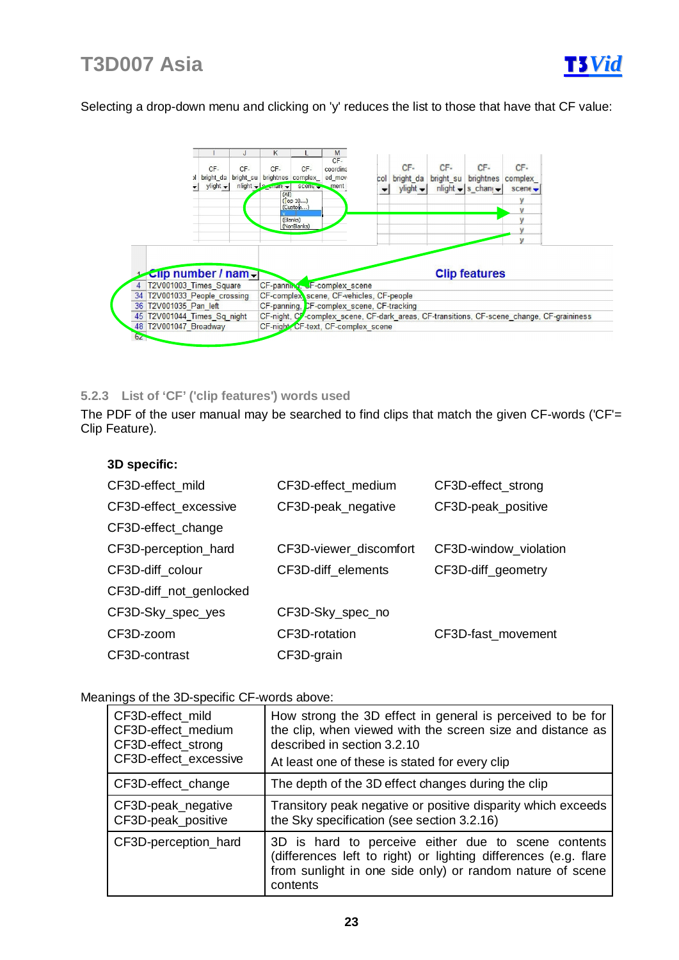

Selecting a drop-down menu and clicking on 'y' reduces the list to those that have that CF value:



### **5.2.3 List of 'CF' ('clip features') words used**

The PDF of the user manual may be searched to find clips that match the given CF-words ('CF'= Clip Feature).

| 3D specific:            |                        |                       |
|-------------------------|------------------------|-----------------------|
| CF3D-effect mild        | CF3D-effect_medium     | CF3D-effect_strong    |
| CF3D-effect excessive   | CF3D-peak_negative     | CF3D-peak_positive    |
| CF3D-effect_change      |                        |                       |
| CF3D-perception_hard    | CF3D-viewer discomfort | CF3D-window_violation |
| CF3D-diff_colour        | CF3D-diff elements     | CF3D-diff_geometry    |
| CF3D-diff_not_genlocked |                        |                       |
| CF3D-Sky_spec_yes       | CF3D-Sky_spec_no       |                       |
| CF3D-zoom               | CF3D-rotation          | CF3D-fast_movement    |
| CF3D-contrast           | CF3D-grain             |                       |

#### Meanings of the 3D-specific CF-words above:

| CF3D-effect mild      | How strong the 3D effect in general is perceived to be for                                                                                                                                      |
|-----------------------|-------------------------------------------------------------------------------------------------------------------------------------------------------------------------------------------------|
| CF3D-effect medium    | the clip, when viewed with the screen size and distance as                                                                                                                                      |
| CF3D-effect_strong    | described in section 3.2.10                                                                                                                                                                     |
| CF3D-effect excessive | At least one of these is stated for every clip                                                                                                                                                  |
| CF3D-effect_change    | The depth of the 3D effect changes during the clip                                                                                                                                              |
| CF3D-peak_negative    | Transitory peak negative or positive disparity which exceeds                                                                                                                                    |
| CF3D-peak positive    | the Sky specification (see section 3.2.16)                                                                                                                                                      |
| CF3D-perception_hard  | 3D is hard to perceive either due to scene contents<br>(differences left to right) or lighting differences (e.g. flare<br>from sunlight in one side only) or random nature of scene<br>contents |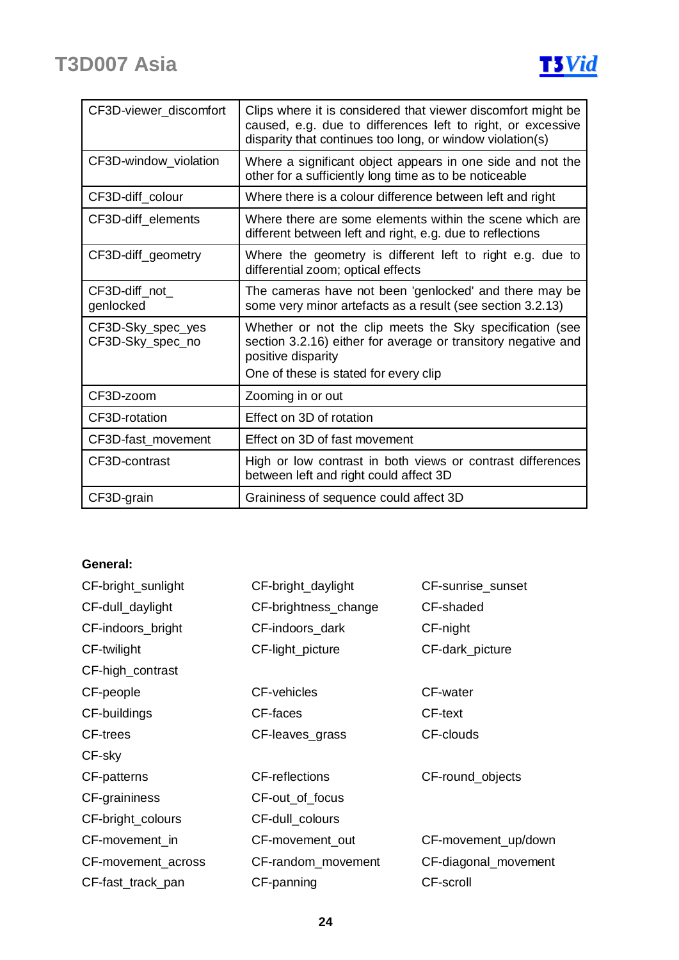

| CF3D-viewer_discomfort                | Clips where it is considered that viewer discomfort might be<br>caused, e.g. due to differences left to right, or excessive<br>disparity that continues too long, or window violation(s) |
|---------------------------------------|------------------------------------------------------------------------------------------------------------------------------------------------------------------------------------------|
| CF3D-window_violation                 | Where a significant object appears in one side and not the<br>other for a sufficiently long time as to be noticeable                                                                     |
| CF3D-diff_colour                      | Where there is a colour difference between left and right                                                                                                                                |
| CF3D-diff elements                    | Where there are some elements within the scene which are<br>different between left and right, e.g. due to reflections                                                                    |
| CF3D-diff_geometry                    | Where the geometry is different left to right e.g. due to<br>differential zoom; optical effects                                                                                          |
| CF3D-diff_not_<br>genlocked           | The cameras have not been 'genlocked' and there may be<br>some very minor artefacts as a result (see section 3.2.13)                                                                     |
| CF3D-Sky_spec_yes<br>CF3D-Sky_spec_no | Whether or not the clip meets the Sky specification (see<br>section 3.2.16) either for average or transitory negative and<br>positive disparity<br>One of these is stated for every clip |
| CF3D-zoom                             | Zooming in or out                                                                                                                                                                        |
| CF3D-rotation                         | Effect on 3D of rotation                                                                                                                                                                 |
| CF3D-fast movement                    | Effect on 3D of fast movement                                                                                                                                                            |
| CF3D-contrast                         | High or low contrast in both views or contrast differences<br>between left and right could affect 3D                                                                                     |
| CF3D-grain                            | Graininess of sequence could affect 3D                                                                                                                                                   |

### **General:**

| CF-bright_sunlight | CF-bright_daylight    | CF-sunrise_sunset    |
|--------------------|-----------------------|----------------------|
| CF-dull_daylight   | CF-brightness_change  | CF-shaded            |
| CF-indoors_bright  | CF-indoors_dark       | CF-night             |
| CF-twilight        | CF-light_picture      | CF-dark_picture      |
| CF-high_contrast   |                       |                      |
| CF-people          | CF-vehicles           | CF-water             |
| CF-buildings       | CF-faces              | CF-text              |
| <b>CF-trees</b>    | CF-leaves_grass       | CF-clouds            |
| CF-sky             |                       |                      |
| CF-patterns        | <b>CF-reflections</b> | CF-round_objects     |
| CF-graininess      | CF-out_of_focus       |                      |
| CF-bright_colours  | CF-dull_colours       |                      |
| CF-movement_in     | CF-movement_out       | CF-movement_up/down  |
| CF-movement_across | CF-random_movement    | CF-diagonal_movement |
| CF-fast_track_pan  | CF-panning            | CF-scroll            |
|                    |                       |                      |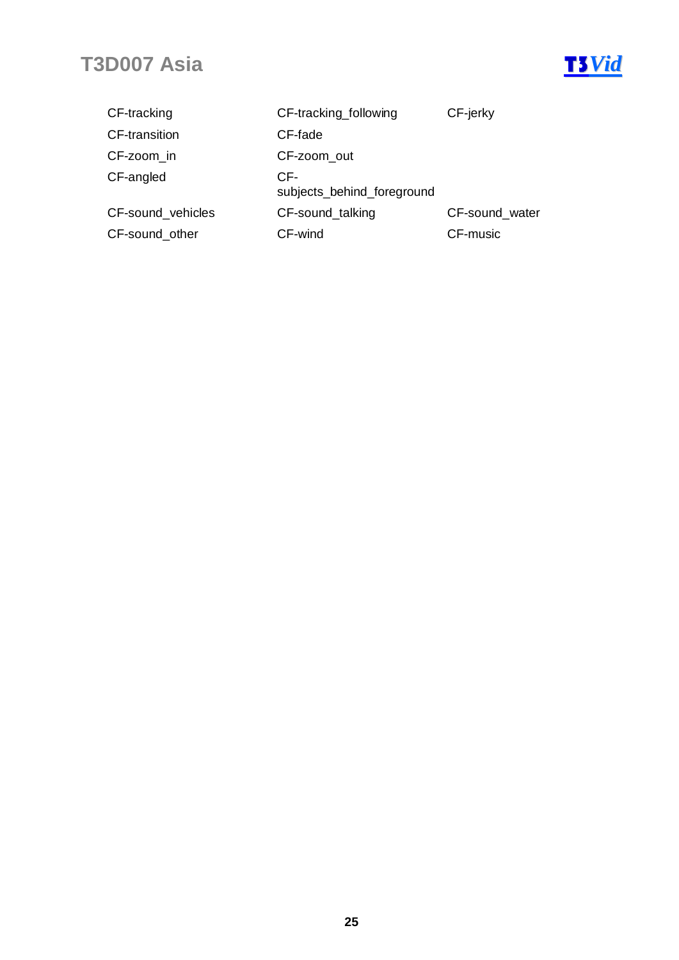

| CF-tracking          | CF-tracking_following             | CF-jerky       |
|----------------------|-----------------------------------|----------------|
| <b>CF-transition</b> | CF-fade                           |                |
| CF-zoom in           | CF-zoom_out                       |                |
| CF-angled            | CF-<br>subjects_behind_foreground |                |
| CF-sound vehicles    | CF-sound_talking                  | CF-sound water |
| CF-sound_other       | CF-wind                           | CF-music       |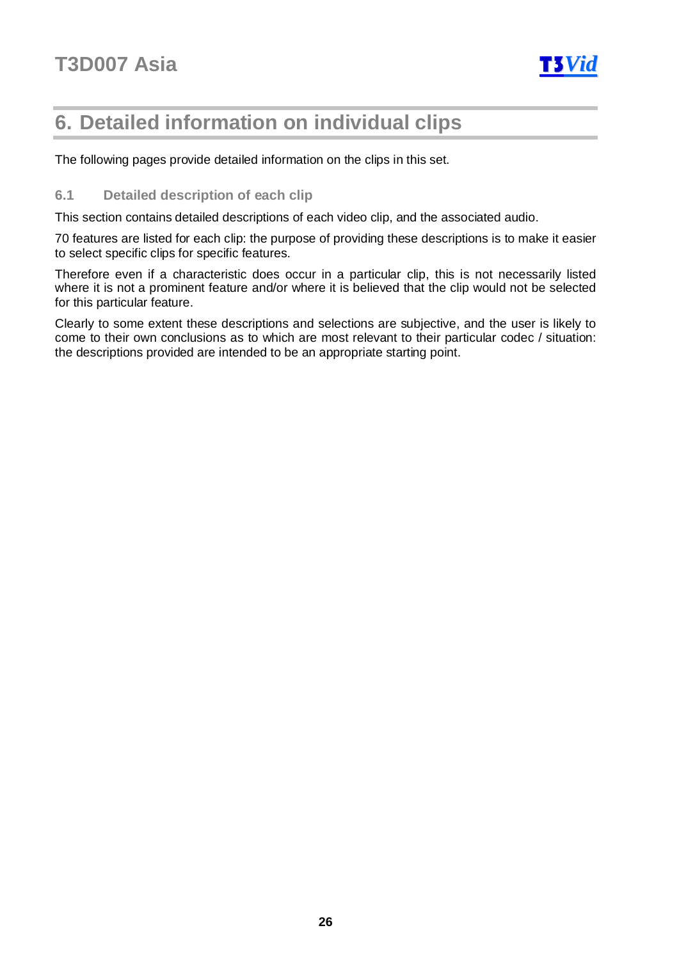

### **6. Detailed information on individual clips**

The following pages provide detailed information on the clips in this set.

### **6.1 Detailed description of each clip**

This section contains detailed descriptions of each video clip, and the associated audio.

70 features are listed for each clip: the purpose of providing these descriptions is to make it easier to select specific clips for specific features.

Therefore even if a characteristic does occur in a particular clip, this is not necessarily listed where it is not a prominent feature and/or where it is believed that the clip would not be selected for this particular feature.

Clearly to some extent these descriptions and selections are subjective, and the user is likely to come to their own conclusions as to which are most relevant to their particular codec / situation: the descriptions provided are intended to be an appropriate starting point.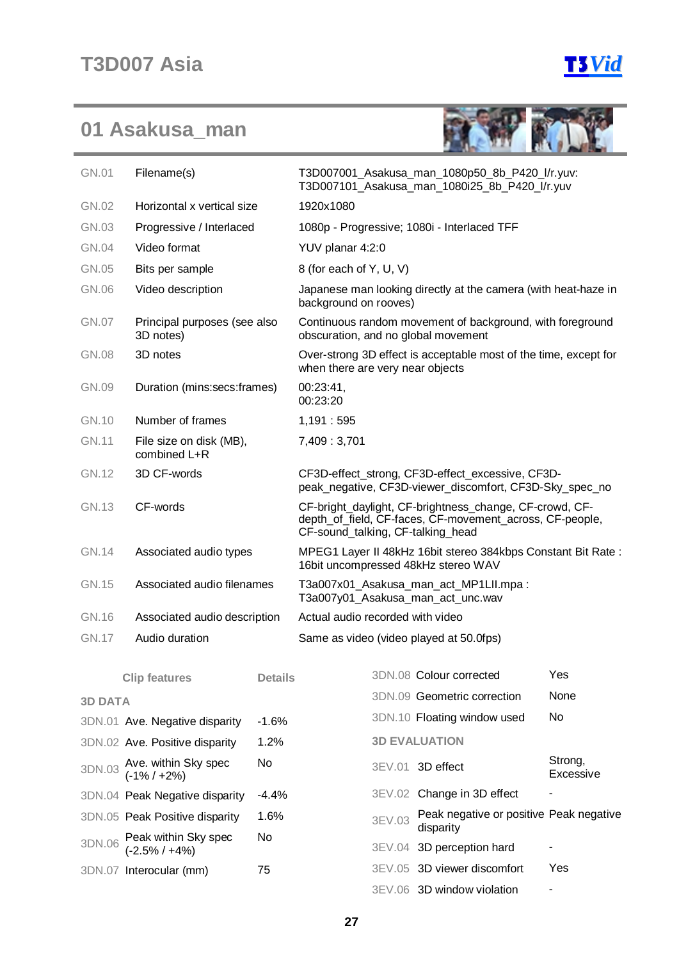



| GN.01          | Filename(s)                                | T3D007001_Asakusa_man_1080p50_8b_P420_l/r.yuv:<br>T3D007101 Asakusa man 1080i25 8b P420 l/r.yuv |                                                                                                                                                          |        |                                                                                                  |                      |  |  |  |  |
|----------------|--------------------------------------------|-------------------------------------------------------------------------------------------------|----------------------------------------------------------------------------------------------------------------------------------------------------------|--------|--------------------------------------------------------------------------------------------------|----------------------|--|--|--|--|
| GN.02          | Horizontal x vertical size                 | 1920x1080                                                                                       |                                                                                                                                                          |        |                                                                                                  |                      |  |  |  |  |
| GN.03          |                                            | Progressive / Interlaced                                                                        |                                                                                                                                                          |        | 1080p - Progressive; 1080i - Interlaced TFF                                                      |                      |  |  |  |  |
| GN.04          | Video format                               |                                                                                                 | YUV planar 4:2:0                                                                                                                                         |        |                                                                                                  |                      |  |  |  |  |
| GN.05          | Bits per sample                            |                                                                                                 | 8 (for each of Y, U, V)                                                                                                                                  |        |                                                                                                  |                      |  |  |  |  |
| GN.06          | Video description                          |                                                                                                 | background on rooves)                                                                                                                                    |        | Japanese man looking directly at the camera (with heat-haze in                                   |                      |  |  |  |  |
| GN.07          | Principal purposes (see also<br>3D notes)  |                                                                                                 |                                                                                                                                                          |        | Continuous random movement of background, with foreground<br>obscuration, and no global movement |                      |  |  |  |  |
| GN.08          | 3D notes                                   |                                                                                                 | when there are very near objects                                                                                                                         |        | Over-strong 3D effect is acceptable most of the time, except for                                 |                      |  |  |  |  |
| GN.09          | Duration (mins:secs:frames)                |                                                                                                 | 00:23:41,<br>00:23:20                                                                                                                                    |        |                                                                                                  |                      |  |  |  |  |
| GN.10          | Number of frames                           |                                                                                                 | 1,191:595                                                                                                                                                |        |                                                                                                  |                      |  |  |  |  |
| <b>GN.11</b>   | File size on disk (MB),<br>combined L+R    |                                                                                                 | 7,409: 3,701                                                                                                                                             |        |                                                                                                  |                      |  |  |  |  |
| GN.12          | 3D CF-words                                |                                                                                                 | CF3D-effect strong, CF3D-effect excessive, CF3D-<br>peak_negative, CF3D-viewer_discomfort, CF3D-Sky_spec_no                                              |        |                                                                                                  |                      |  |  |  |  |
| <b>GN.13</b>   | CF-words                                   |                                                                                                 | CF-bright_daylight, CF-brightness_change, CF-crowd, CF-<br>depth_of_field, CF-faces, CF-movement_across, CF-people,<br>CF-sound_talking, CF-talking_head |        |                                                                                                  |                      |  |  |  |  |
| <b>GN.14</b>   | Associated audio types                     |                                                                                                 | MPEG1 Layer II 48kHz 16bit stereo 384kbps Constant Bit Rate:<br>16bit uncompressed 48kHz stereo WAV                                                      |        |                                                                                                  |                      |  |  |  |  |
| GN.15          | Associated audio filenames                 |                                                                                                 | T3a007x01_Asakusa_man_act_MP1LII.mpa:<br>T3a007y01_Asakusa_man_act_unc.wav                                                                               |        |                                                                                                  |                      |  |  |  |  |
| GN.16          | Associated audio description               |                                                                                                 | Actual audio recorded with video                                                                                                                         |        |                                                                                                  |                      |  |  |  |  |
| <b>GN.17</b>   | Audio duration                             |                                                                                                 | Same as video (video played at 50.0fps)                                                                                                                  |        |                                                                                                  |                      |  |  |  |  |
|                | <b>Clip features</b>                       | <b>Details</b>                                                                                  |                                                                                                                                                          |        | 3DN.08 Colour corrected                                                                          | Yes                  |  |  |  |  |
| <b>3D DATA</b> |                                            |                                                                                                 |                                                                                                                                                          |        | 3DN.09 Geometric correction                                                                      | None                 |  |  |  |  |
|                | 3DN.01 Ave. Negative disparity             | $-1.6%$                                                                                         |                                                                                                                                                          |        | 3DN.10 Floating window used                                                                      | No                   |  |  |  |  |
|                | 3DN.02 Ave. Positive disparity             | 1.2%                                                                                            |                                                                                                                                                          |        | <b>3D EVALUATION</b>                                                                             |                      |  |  |  |  |
|                | 3DN.03 Ave. within Sky spec<br>(-1% / +2%) | No                                                                                              |                                                                                                                                                          |        | 3EV.01 3D effect                                                                                 | Strong,<br>Excessive |  |  |  |  |
|                | 3DN.04 Peak Negative disparity             | $-4.4%$                                                                                         |                                                                                                                                                          |        | 3EV.02 Change in 3D effect                                                                       |                      |  |  |  |  |
|                | 3DN.05 Peak Positive disparity             | 1.6%                                                                                            |                                                                                                                                                          | 3EV.03 | Peak negative or positive Peak negative<br>disparity                                             |                      |  |  |  |  |
| 3DN.06         | Peak within Sky spec<br>$(-2.5\% / +4\%)$  | No                                                                                              |                                                                                                                                                          |        | 3EV.04 3D perception hard                                                                        |                      |  |  |  |  |
|                | 3DN.07 Interocular (mm)                    | 75                                                                                              |                                                                                                                                                          |        | 3EV.05 3D viewer discomfort                                                                      | Yes                  |  |  |  |  |
|                |                                            |                                                                                                 |                                                                                                                                                          |        | 3EV.06 3D window violation                                                                       |                      |  |  |  |  |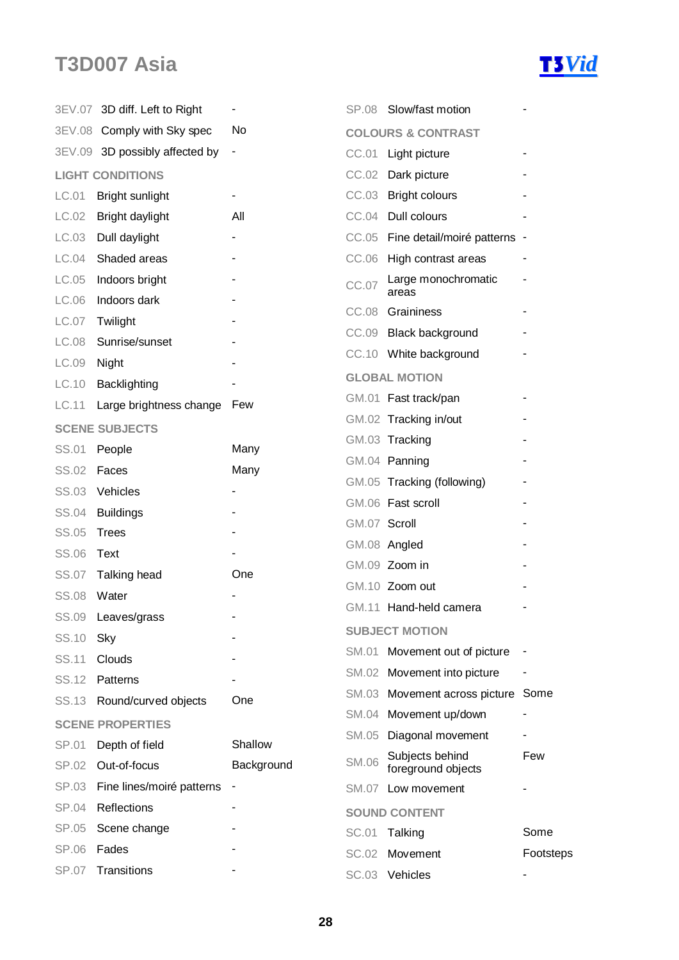## **T3D007** Asia **T3D007** Asia



|              | 3EV.07 3D diff. Left to Right  |                          |              | SP.08 Slow/fast motion                |           |
|--------------|--------------------------------|--------------------------|--------------|---------------------------------------|-----------|
|              | 3EV.08 Comply with Sky spec    | No                       |              | <b>COLOURS &amp; CONTRAST</b>         |           |
|              | 3EV.09 3D possibly affected by | $\overline{\phantom{a}}$ | CC.01        | Light picture                         |           |
|              | <b>LIGHT CONDITIONS</b>        |                          | CC.02        | Dark picture                          |           |
| LC.01        | Bright sunlight                |                          |              | CC.03 Bright colours                  |           |
| LC.02        | Bright daylight                | All                      | CC.04        | Dull colours                          |           |
| LC.03        | Dull daylight                  | ۰                        | CC.05        | Fine detail/moiré patterns -          |           |
| LC.04        | Shaded areas                   |                          |              | CC.06 High contrast areas             |           |
| LC.05        | Indoors bright                 |                          | CC.07        | Large monochromatic<br>areas          |           |
| LC.06        | Indoors dark                   |                          | CC.08        | Graininess                            |           |
| LC.07        | Twilight                       |                          |              | CC.09 Black background                |           |
| LC.08        | Sunrise/sunset                 |                          |              | CC.10 White background                |           |
| LC.09        | Night                          |                          |              |                                       |           |
| LC.10        | Backlighting                   |                          |              | <b>GLOBAL MOTION</b>                  |           |
| LC.11        | Large brightness change Few    |                          |              | GM.01 Fast track/pan                  |           |
|              | <b>SCENE SUBJECTS</b>          |                          |              | GM.02 Tracking in/out                 |           |
| SS.01        | People                         | Many                     |              | GM.03 Tracking                        |           |
| <b>SS.02</b> | Faces                          | Many                     |              | GM.04 Panning                         |           |
| <b>SS.03</b> | Vehicles                       |                          |              | GM.05 Tracking (following)            |           |
| <b>SS.04</b> | <b>Buildings</b>               |                          |              | GM.06 Fast scroll                     |           |
| <b>SS.05</b> | <b>Trees</b>                   |                          | GM.07 Scroll |                                       |           |
| SS.06        | Text                           |                          |              | GM.08 Angled                          |           |
| <b>SS.07</b> | Talking head                   | One                      |              | GM.09 Zoom in                         |           |
| <b>SS.08</b> | Water                          |                          |              | GM.10 Zoom out                        |           |
| SS.09        | Leaves/grass                   |                          |              | GM.11 Hand-held camera                |           |
| SS.10        | Sky                            |                          |              | <b>SUBJECT MOTION</b>                 |           |
| SS.11        | Clouds                         |                          |              | SM.01 Movement out of picture         |           |
| <b>SS.12</b> | Patterns                       |                          |              | SM.02 Movement into picture           |           |
| SS.13        | Round/curved objects           | One                      |              | SM.03 Movement across picture Some    |           |
|              | <b>SCENE PROPERTIES</b>        |                          | SM.04        | Movement up/down                      |           |
| SP.01        | Depth of field                 | Shallow                  | SM.05        | Diagonal movement                     |           |
| SP.02        | Out-of-focus                   | Background               | <b>SM.06</b> | Subjects behind<br>foreground objects | Few       |
| SP.03        | Fine lines/moiré patterns      |                          |              | SM.07 Low movement                    |           |
| <b>SP.04</b> | Reflections                    |                          |              | <b>SOUND CONTENT</b>                  |           |
| SP.05        | Scene change                   |                          | <b>SC.01</b> | Talking                               | Some      |
| SP.06        | Fades                          |                          | <b>SC.02</b> | Movement                              | Footsteps |
| <b>SP.07</b> | Transitions                    |                          |              | SC.03 Vehicles                        |           |
|              |                                |                          |              |                                       |           |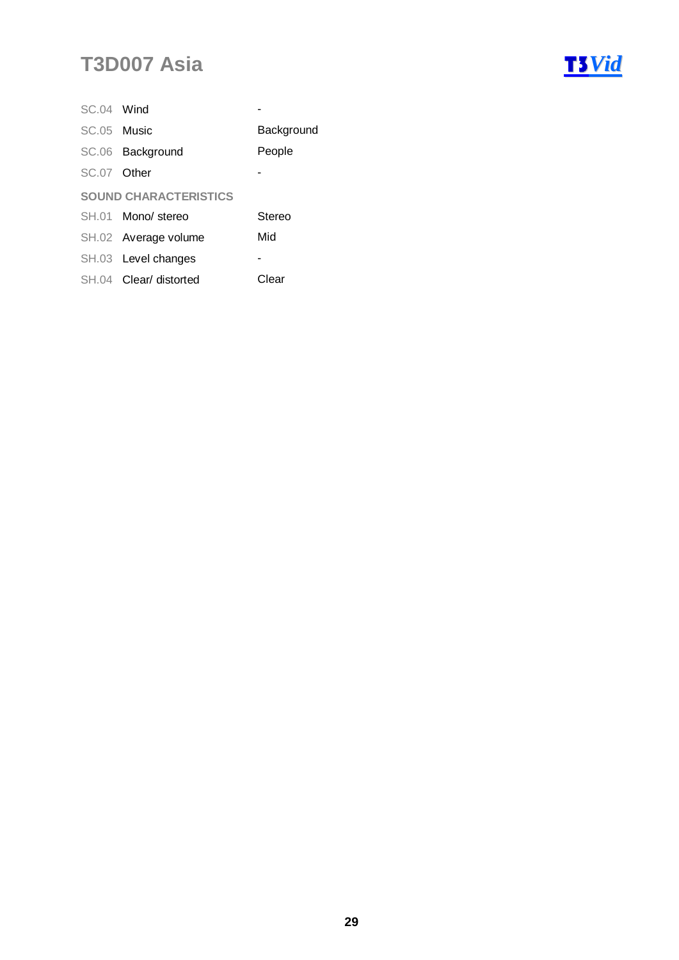| SC.04 Wind  |                              |            |
|-------------|------------------------------|------------|
| SC.05 Music |                              | Background |
|             | SC.06 Background             | People     |
| SC.07 Other |                              |            |
|             | <b>SOUND CHARACTERISTICS</b> |            |
|             | SH.01 Mono/stereo            | Stereo     |
|             | SH.02 Average volume         | Mid        |
|             | SH.03 Level changes          |            |
|             | SH.04 Clear/ distorted       | Clear      |

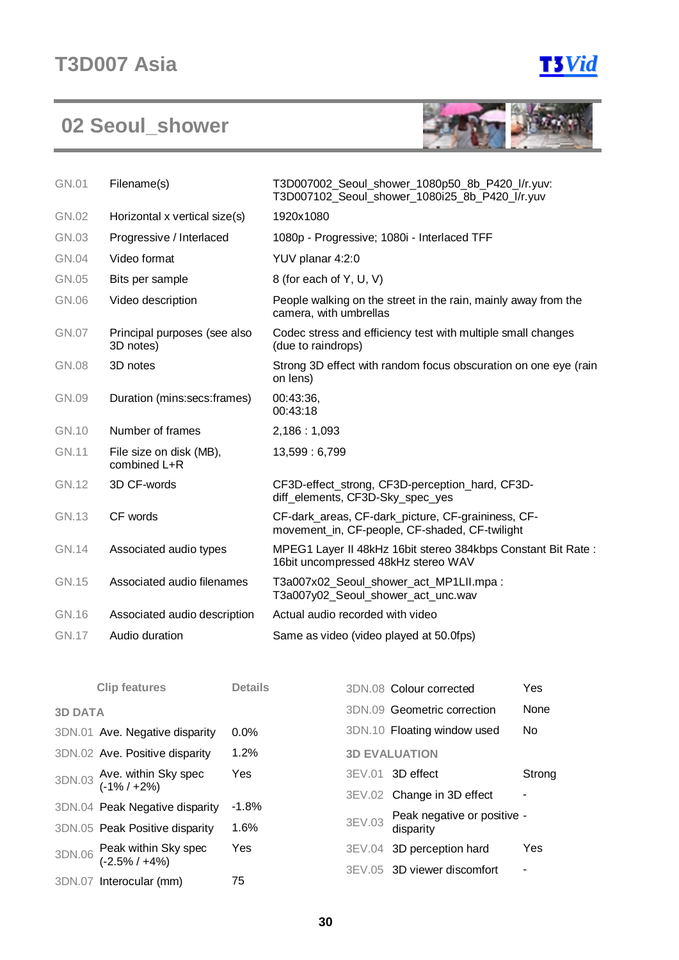

## **02 Seoul\_shower**



| <b>GN.01</b> | Filename(s)                               | T3D007002_Seoul_shower_1080p50_8b_P420_l/r.yuv:<br>T3D007102 Seoul shower 1080i25 8b P420 I/r.yuv    |
|--------------|-------------------------------------------|------------------------------------------------------------------------------------------------------|
| GN.02        | Horizontal x vertical size(s)             | 1920x1080                                                                                            |
| GN.03        | Progressive / Interlaced                  | 1080p - Progressive; 1080i - Interlaced TFF                                                          |
| GN.04        | Video format                              | YUV planar 4:2:0                                                                                     |
| GN.05        | Bits per sample                           | 8 (for each of Y, U, V)                                                                              |
| GN.06        | Video description                         | People walking on the street in the rain, mainly away from the<br>camera, with umbrellas             |
| GN.07        | Principal purposes (see also<br>3D notes) | Codec stress and efficiency test with multiple small changes<br>(due to raindrops)                   |
| <b>GN.08</b> | 3D notes                                  | Strong 3D effect with random focus obscuration on one eye (rain<br>on lens)                          |
| GN.09        | Duration (mins:secs:frames)               | 00:43:36,<br>00:43:18                                                                                |
| GN.10        | Number of frames                          | 2,186:1,093                                                                                          |
| <b>GN.11</b> | File size on disk (MB),<br>combined L+R   | 13,599: 6,799                                                                                        |
| <b>GN.12</b> | 3D CF-words                               | CF3D-effect_strong, CF3D-perception_hard, CF3D-<br>diff_elements, CF3D-Sky_spec_yes                  |
| <b>GN.13</b> | CF words                                  | CF-dark_areas, CF-dark_picture, CF-graininess, CF-<br>movement_in, CF-people, CF-shaded, CF-twilight |
| <b>GN.14</b> | Associated audio types                    | MPEG1 Layer II 48kHz 16bit stereo 384kbps Constant Bit Rate:<br>16bit uncompressed 48kHz stereo WAV  |
| GN.15        | Associated audio filenames                | T3a007x02_Seoul_shower_act_MP1LII.mpa:<br>T3a007y02 Seoul shower act unc.wav                         |
| GN.16        | Associated audio description              | Actual audio recorded with video                                                                     |
| <b>GN.17</b> | Audio duration                            | Same as video (video played at 50.0fps)                                                              |

|                | <b>Clip features</b>                         | <b>Details</b> | 3DN.08 Colour corrected                         | Yes       |
|----------------|----------------------------------------------|----------------|-------------------------------------------------|-----------|
| <b>3D DATA</b> |                                              |                | 3DN.09 Geometric correction                     | None      |
|                | 3DN.01 Ave. Negative disparity               | $0.0\%$        | 3DN.10 Floating window used                     | <b>No</b> |
|                | 3DN.02 Ave. Positive disparity               | 1.2%           | <b>3D EVALUATION</b>                            |           |
|                | 3DN.03 Ave. within Sky spec<br>(-1% / +2%)   | Yes            | $3EV.01$ 3D effect                              | Strong    |
|                |                                              |                | 3EV.02 Change in 3D effect                      | ۰         |
|                | 3DN.04 Peak Negative disparity               | $-1.8%$        |                                                 |           |
|                | 3DN.05 Peak Positive disparity               | 1.6%           | 3EV.03 Peak negative or positive -<br>disparity |           |
|                | 3DN.06 Peak within Sky spec<br>(-2.5% / +4%) | Yes            | 3EV.04 3D perception hard                       | Yes       |
|                |                                              |                | 3EV.05 3D viewer discomfort                     | ٠         |
|                | 3DN.07 Interocular (mm)                      | 75             |                                                 |           |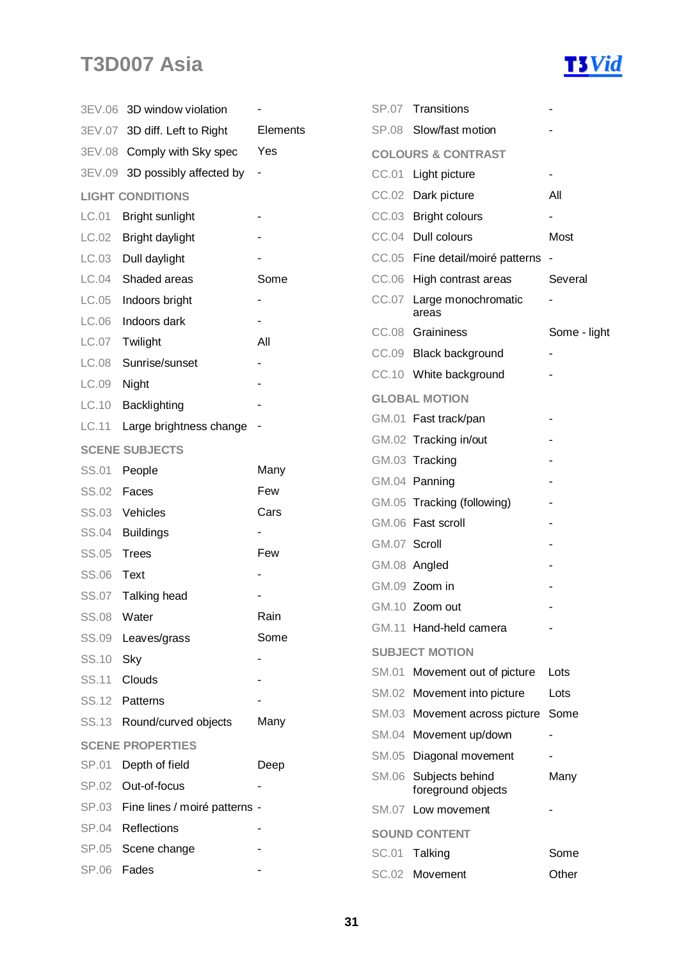

|              | 3EV.06 3D window violation     |                              |              | SP.07 Transitions                     |                          |
|--------------|--------------------------------|------------------------------|--------------|---------------------------------------|--------------------------|
|              | 3EV.07 3D diff. Left to Right  | Elements                     |              | SP.08 Slow/fast motion                |                          |
|              | 3EV.08 Comply with Sky spec    | Yes                          |              | <b>COLOURS &amp; CONTRAST</b>         |                          |
|              | 3EV.09 3D possibly affected by | $\qquad \qquad \blacksquare$ |              | CC.01 Light picture                   | ٠                        |
|              | <b>LIGHT CONDITIONS</b>        |                              |              | CC.02 Dark picture                    | All                      |
| LC.01        | Bright sunlight                |                              |              | CC.03 Bright colours                  |                          |
| LC.02        | Bright daylight                |                              |              | CC.04 Dull colours                    | Most                     |
| LC.03        | Dull daylight                  |                              |              | CC.05 Fine detail/moiré patterns      |                          |
| LC.04        | Shaded areas                   | Some                         |              | CC.06 High contrast areas             | Several                  |
| LC.05        | Indoors bright                 |                              |              | CC.07 Large monochromatic             |                          |
| LC.06        | Indoors dark                   |                              |              | areas                                 |                          |
| LC.07        | Twilight                       | All                          |              | CC.08 Graininess                      | Some - light             |
| LC.08        | Sunrise/sunset                 |                              |              | CC.09 Black background                |                          |
| LC.09        | Night                          |                              |              | CC.10 White background                |                          |
| LC.10        | Backlighting                   |                              |              | <b>GLOBAL MOTION</b>                  |                          |
| LC.11        | Large brightness change        |                              |              | GM.01 Fast track/pan                  |                          |
|              | <b>SCENE SUBJECTS</b>          |                              |              | GM.02 Tracking in/out                 |                          |
| SS.01        | People                         | Many                         |              | GM.03 Tracking                        |                          |
| <b>SS.02</b> | Faces                          | Few                          |              | GM.04 Panning                         |                          |
| SS.03        | Vehicles                       | Cars                         |              | GM.05 Tracking (following)            |                          |
| <b>SS.04</b> | <b>Buildings</b>               |                              |              | GM.06 Fast scroll                     |                          |
| <b>SS.05</b> | <b>Trees</b>                   | Few                          | GM.07 Scroll |                                       |                          |
| SS.06        | Text                           |                              |              | GM.08 Angled                          |                          |
|              | SS.07 Talking head             |                              |              | GM.09 Zoom in                         |                          |
| <b>SS.08</b> | Water                          | Rain                         |              | GM.10 Zoom out                        |                          |
| SS.09        | Leaves/grass                   | Some                         |              | GM.11 Hand-held camera                |                          |
| SS.10        | Sky                            |                              |              | <b>SUBJECT MOTION</b>                 |                          |
| SS.11        | Clouds                         |                              |              | SM.01 Movement out of picture         | Lots                     |
| SS.12        | Patterns                       |                              |              | SM.02 Movement into picture           | Lots                     |
| SS.13        | Round/curved objects           | Many                         |              | SM.03 Movement across picture         | Some                     |
|              | <b>SCENE PROPERTIES</b>        |                              |              | SM.04 Movement up/down                | $\overline{\phantom{a}}$ |
| SP.01        | Depth of field                 | Deep                         |              | SM.05 Diagonal movement               | ۰                        |
| SP.02        | Out-of-focus                   |                              | SM.06        | Subjects behind<br>foreground objects | Many                     |
| SP.03        | Fine lines / moiré patterns -  |                              |              | SM.07 Low movement                    |                          |
| <b>SP.04</b> | Reflections                    |                              |              | <b>SOUND CONTENT</b>                  |                          |
| SP.05        | Scene change                   |                              |              | SC.01 Talking                         | Some                     |
| SP.06        | Fades                          |                              |              | SC.02 Movement                        | Other                    |